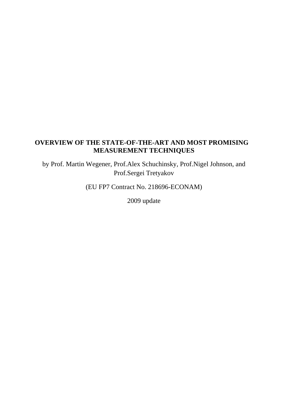# **OVERVIEW OF THE STATE-OF-THE-ART AND MOST PROMISING MEASUREMENT TECHNIQUES**

by Prof. Martin Wegener, Prof.Alex Schuchinsky, Prof.Nigel Johnson, and Prof.Sergei Tretyakov

(EU FP7 Contract No. 218696-ECONAM)

2009 update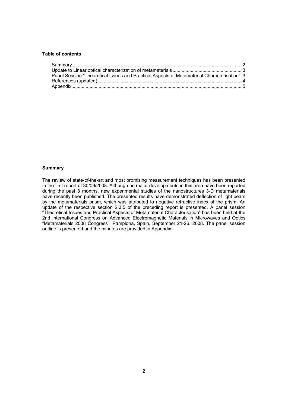# **Table of contents**

| Panel Session "Theoretical Issues and Practical Aspects of Metamaterial Characterisation" 3 |  |
|---------------------------------------------------------------------------------------------|--|
|                                                                                             |  |
|                                                                                             |  |

# **Summary**

The review of state-of-the-art and most promising measurement techniques has been presented in the first report of 30/09/2008. Although no major developments in this area have been reported during the past 3 months, new experimental studies of the nanostructures 3-D metamaterials have recently been published. The presented results have demonstrated deflection of light beam by the metamaterials prism, which was attributed to negative refractive index of the prism. An update of the respective section 2.3.5 of the preceding report is presented. A panel session "Theoretical Issues and Practical Aspects of Metamaterial Characterisation" has been held at the 2nd International Congress on Advanced Electromagnetic Materials in Microwaves and Optics "Metamaterials 2008 Congress", Pamplona, Spain, September 21-26, 2008. The panel session outline is presented and the minutes are provided in Appendix.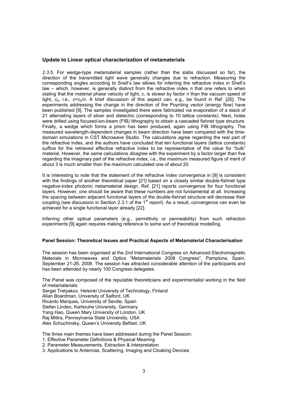# **Update to Linear optical characterization of metamaterials**

*2.3.5.* For wedge-type metamaterial samples (rather than the slabs discussed so far), the direction of the transmitted light wave generally changes due to refraction. Measuring the corresponding angles according to Snell's law allows for inferring the refractive index in Snell's law – which, however, is generally distinct from the refractive index *n* that one refers to when stating that the material phase velocity of light, *c*, is slower by factor *n* than the vacuum speed of light,  $c_0$ , i.e.,  $c = c_0/n$ . A brief discussion of this aspect can, e.g., be found in Ref. [20]. The experiments addressing the change in the direction of the Poynting vector (energy flow) have been published [9]. The samples investigated there were fabricated via evaporation of a stack of 21 alternating layers of silver and dielectric (corresponding to 10 lattice constants). Next, holes were drilled using focused-ion-beam (FIB) lithography to obtain a cascaded fishnet type structure. Finally, a wedge which forms a prism has been produced, again using FIB lithography. The measured wavelength-dependent changes in beam direction have been compared with the timedomain simulations in CST Microwave Studio. The calculations agree regarding the real part of the refractive index, and the authors have concluded that ten functional layers (lattice constants) suffice for the retrieved effective refractive index to be representative of the value for "bulk" material. However, the same calculations *disagree* with the experiment by a factor larger than five regarding the imaginary part of the refractive index, i.e., the maximum measured figure of merit of about 3 is much smaller than the maximum calculated one of about 20.

It is interesting to note that the statement of the refractive index convergence in [9] is consistent with the findings of another theoretical paper [21] based on a closely similar double-fishnet type negative-index photonic metamaterial design. Ref. [21] reports convergence for four functional layers. However, one should be aware that these numbers are not fundamental at all. Increasing the spacing between adjacent functional layers of the double-fishnet structure will decrease their coupling (see discussion in Section 2.3.1 of the 1<sup>st</sup> report). As a result, convergence can even be achieved for a single functional layer already [22].

Inferring other optical parameters (e.g., permittivity or permeability) from such refraction experiments [9] again requires making reference to some sort of theoretical modelling.

#### **Panel Session: Theoretical Issues and Practical Aspects of Metamaterial Characterisation**

The session has been organised at the 2nd International Congress on Advanced Electromagnetic Materials in Microwaves and Optics "Metamaterials 2008 Congress", Pamplona, Spain, September 21-26, 2008. The session has attracted considerable attention of the participants and has been attended by nearly 100 Congress delegates.

The Panel was composed of the reputable theoreticians and experimentalist working in the field of metamaterials:

Sergei Tretyakov, Helsinki University of Technology, Finland Allan Boardman, University of Salford, UK Ricardo Marques, University of Seville, Spain Stefan Linden, Karlsruhe University, Germany Yang Hao, Queen Mary University of London, UK Raj Mittra, Pennsylvania State University, USA Alex Schuchinsky, Queen's University Belfast, UK

The three main themes have been addressed during the Panel Session:

1. Effective Parameter Definitions & Physical Meaning

- 2. Parameter Measurements, Extraction & Interpretation
- 3. Applications to Antennas, Scattering, Imaging and Cloaking Devices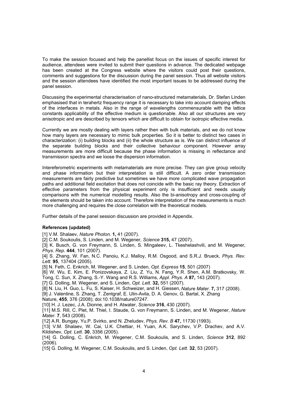To make the session focused and help the panellist focus on the issues of specific interest for audience, attendees were invited to submit their questions in advance. The dedicated webpage has been created at the Congress website where the visitors could post their questions, comments and suggestions for the discussion during the panel session. Thus all website visitors and the session attendees have identified the most important issues to be addressed during the panel session.

Discussing the experimental characterisation of nano-structured metamaterials, Dr. Stefan Linden emphasised that in terahertz frequency range it is necessary to take into account damping effects of the interfaces in metals. Also in the range of wavelengths commensurable with the lattice constants applicability of the effective medium is questionable. Also all our structures are very anisotropic and are described by tensors which are difficult to obtain for isotropic effective media.

Currently we are mostly dealing with layers rather then with bulk materials, and we do not know how many layers are necessary to mimic bulk properties. So it is better to distinct two cases in characterization: (i) building blocks and (ii) the whole structure as is. We can distinct influence of the separate building blocks and their collective behaviour component. However array measurements are more difficult because the phase information is missing in reflectance and transmission spectra and we loose the dispersion information.

Intereferometric experiments with metamaterials are more precise. They can give group velocity and phase information but their interpretation is still difficult. A zero order transmission measurements are fairly predictive but sometimes we have more complicated wave propagation paths and additional field excitation that does not coincide with the basic ray theory. Extraction of effective parameters from the physical experiment only is insufficient and needs usually comparisons with the numerical modelling results. Also the bi-anisotropy and cross-coupling of the elements should be taken into account. Therefore interpretation of the measurements is much more challenging and requires the close correlation with the theoretical models.

Further details of the panel session discussion are provided in Appendix.

# **References (updated)**

[1] V.M. Shalaev, *Nature Photon.* **1,** 41 (2007).

[2] C.M. Soukoulis, S. Linden, and M. Wegener, *Science* **315,** 47 (2007).

[3] K. Busch, G. von Freymann, S. Linden, S. Mingaleev, L. Tkeshelashvili, and M. Wegener, *Phys. Rep.* **444**, 101 (2007).

[4] S. Zhang, W. Fan, N.C. Panoiu, K.J. Malloy, R.M. Osgood, and S.R.J. Brueck, *Phys. Rev. Lett.* **95**, 137404 (2005).

[5] N. Feth, C. Enkrich, M. Wegener, and S. Linden, *Opt. Express* **15**, 501 (2007)

[6] W. Wu, E. Kim, E. Ponizovskaya, Z. Liu, Z. Yu, N. Fang, Y.R. Shen, A.M. Bratkovsky, W.

Tong, C. Sun, X. Zhang, S.-Y. Wang and R.S. Williams, *Appl. Phys. A* **87,** 143 (2007).

[7] G. Dolling, M. Wegener, and S. Linden, *Opt. Lett.* **32,** 551 (2007).

[8] N. Liu, H. Guo, L. Fu, S. Kaiser, H. Schweizer, and H. Giessen, *Nature Mater.* **7,** 317 (2008).

[9] J. Valentine, S. Zhang, T. Zentgraf, E. Ulin-Avila, D. A. Genov, G. Bartal, X. Zhang

Nature, **455**, 376 (2008); doi:10.1038/nature07247.

[10] H. J. Lezec, J.A. Dionne, and H. Atwater, *Science* **316**, 430 (2007).

[11] M.S. Rill, C. Plet, M. Thiel, I. Staude, G. von Freymann, S. Linden, and M. Wegener, *Nature Mater.* **7**, 543 (2008).

[12] A.R. Bungay, Yu.P. Svirko, and N. Zheludev, *Phys. Rev. B* **47,** 11730 (1993).

[13] V.M. Shalaev, W. Cai, U.K. Chettiar, H. Yuan, A.K. Sarychev, V.P. Drachev, and A.V. Kildishev, *Opt. Lett.* **30**, 3356 (2005).

[14] G. Dolling, C. Enkrich, M. Wegener, C.M. Soukoulis, and S. Linden, *Science* **312**, 892 (2006).

[15] G. Dolling, M. Wegener, C.M. Soukoulis, and S. Linden, *Opt. Lett.* **32**, 53 (2007).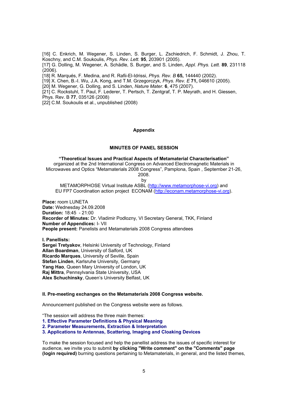[16] C. Enkrich, M. Wegener, S. Linden, S. Burger, L. Zschiedrich, F. Schmidt, J. Zhou, T. Koschny, and C.M. Soukoulis, *Phys. Rev. Lett.* **95**, 203901 (2005).

[17] G. Dolling, M. Wegener, A. Schädle, S. Burger, and S. Linden, *Appl. Phys. Lett.* **89**, 231118 (2006).

[18] R. Marqués, F. Medina, and R. Rafii-El-Idrissi, *Phys. Rev. B* **65,** 144440 (2002).

[19] X. Chen, B.-I. Wu, J.A. Kong, and T.M. Grzegorczyk, *Phys. Rev. E* **71,** 046610 (2005).

[20] M. Wegener, G. Dolling, and S. Linden, *Nature Mater.* **6**, 475 (2007).

[21] C. Rockstuhl, T. Paul, F. Lederer, T. Pertsch, T. Zentgraf, T. P. Meyrath, and H. Giessen,

Phys. Rev. B **77**, 035126 (2008)

[22] C.M. Soukoulis et al., unpublished (2008)

#### **Appendix**

# **MINUTES OF PANEL SESSION**

**"Theoretical Issues and Practical Aspects of Metamaterial Characterisation"**  organized at the 2nd International Congress on Advanced Electromagnetic Materials in Microwaves and Optics "Metamaterials 2008 Congress", Pamplona, Spain , September 21-26, 2008. by

METAMORPHOSE Virtual Institute ASBL (http://www.metamorphose-vi.org) and EU FP7 Coordination action project ECONAM (http://econam.metamorphose-vi.org).

**Place:** room LUNETA **Date:** Wednesday 24.09.2008 **Duration:** 18:45 - 21:00 **Recorder of Minutes:** Dr. Vladimir Podlozny, VI Secretary General, TKK, Finland **Number of Appendices:** I- VII **People present:** Panelists and Metamaterials 2008 Congress attendees

**I. Panellists: Sergei Tretyakov**, Helsinki University of Technology, Finland **Allan Boardman**, University of Salford, UK **Ricardo Marques**, University of Seville, Spain **Stefan Linden**, Karlsruhe University, Germany **Yang Hao**, Queen Mary University of London, UK **Raj Mittra**, Pennsylvania State University, USA **Alex Schuchinsky**, Queen's University Belfast, UK

#### **II. Pre-meeting exchanges on the Metamaterials 2008 Congress website.**

Announcement published on the Congress website were as follows.

"The session will address the three main themes:

**1. Effective Parameter Definitions & Physical Meaning** 

**2. Parameter Measurements, Extraction & Interpretation** 

**3. Applications to Antennas, Scattering, Imaging and Cloaking Devices**

To make the session focused and help the panellist address the issues of specific interest for audience, we invite you to submit **by clicking "Write comment" on the "Comments" page (login required)** burning questions pertaining to Metamaterials, in general, and the listed themes,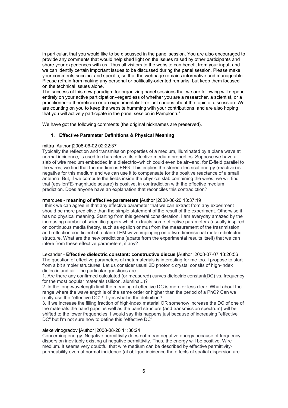in particular, that you would like to be discussed in the panel session. You are also encouraged to provide any comments that would help shed light on the issues raised by other participants and share your experiences with us. Thus all visitors to the website can benefit from your input, and we can identify certain important issues to be discussed during the panel session. Please make your comments succinct and specific, so that the webpage remains informative and manageable. Please refrain from making any personal or politically-oriented remarks, but keep them focused on the technical issues alone.

The success of this new paradigm for organizing panel sessions that we are following will depend entirely on your active participation--regardless of whether you are a researcher, a scientist, or a practitioner--a theoretician or an experimentalist--or just curious about the topic of discussion. We are counting on you to keep the website humming with your contributions, and are also hoping that you will actively participate in the panel session in Pamplona."

We have got the following comments (the original nicknames are preserved).

# **1. Effective Parameter Definitions & Physical Meaning**

# mittra |Author |2008-06-02 02:22:37

Typically the reflection and transmission properties of a medium, illuminated by a plane wave at normal incidence, is used to characterize its effective medium properties. Suppose we have a slab of wire medium embedded in a dielectric--which could even be air--and, for E-field parallel to the wires, we find that the medium is ENG. This implies the stored electrical energy (reactive) is negative for this medium and we can use it to compensate for the positive reactance of a small antenna. But, if we compute the fields inside the physical slab containing the wires, we will find that (epsilon\*E-magnitude square) is positive, in contradiction with the effective medium prediction. Does anyone have an explanation that reconciles this contradiction?

# rmarques - **meaning of effective parameters** |Author |2008-06-20 13:37:19

I think we can agree in that any effective parameter that we can extract from any experiment should be more predictive than the simple statement of the result of the experiment. Otherwise it has no physical meaning. Starting from this general consideration, I am everyday amazed by the increasing number of scientific papers which extracts some effective parameters (usually inspired on continuous media theory, such as epsilon or mu) from the measurement of the trasnmission and reflection coefficient of a plane TEM wave impinging on a two-dimensional metalo-dielectric structure. What are the new predictions (aparte from the experimental results itself) that we can infere from these effective parameters, if any?

#### Lexander - **Effective dielectric constant: constructive discus** |Author |2008-07-07 13:26:56

The question of effective parameters of metamaterials is interesting for me too. I propose to start from a bit simpler structures. Let us consider usual 2D photonic crystal consits of high-index dielectic and air. The particular questions are:

1. Are there any confirmed calculated (or measured) curves dielectric constant(DC) vs. frequency for the most popular materials (silicon, alumina...)?

2. In the long-wavelength limit the meaning of effective DC is more or less clear. What about the range where the wavelength is of the same order or higher than the period of a PhC? Can we really use the "effective DC"? If yes what is the definition?

3. If we increase the filling fraction of high-index material OR somehow increase the DC of one of the materials the band gaps as well as the band structure (and transmission spectrum) will be shifted to the lower frequencies. I would say this happens just because of increasing "effective DC" but I'm not sure how to define this "effective DC"

#### alexeivinogradov |Author |2008-08-20 11:30:24

Concerning energy. Negative permittivity does not mean negative energy because of frequency dispersion inevitably existing at negative permittivity. Thus, the energy will be positive. Wire medium. It seems very doubtful that wire medium can be described by effective permittivitypermeability even at normal incidence (at oblique incidence the effects of spatial dispersion are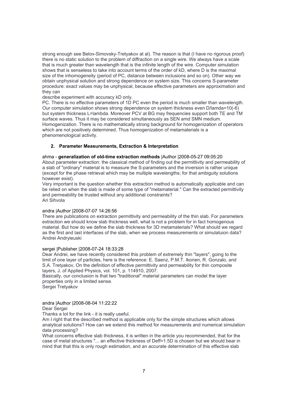strong enough see Belov-Simovsky-Tretyakov at al). The reason is that (I have no rigorous proof) there is no static solution to the problem of diffraction on a single wire. We always have a scale that is much greater than wavelength that is the infinite length of the wire. Computer simulation shows that is senseless to take into account terms of the order of kD, where D is the maximal size of the inhomogeneity (period of PC, distance between inclusions and so on). Other way we obtain unphysical solution and strong dependence on system size. This concerns S-parameter procedure: exact values may be unphysical, because effective parameters are approximation and they can

describe experiment with accuracy kD only.

PC. There is no effective parameters of 1D PC even the period is much smaller than wavelength. Our computer simulation shows strong dependence on system thickness even D/lamda=10(-6) but system thickness L=lambda. Moreover PCV at BG may frequencies support both TE and TM surface waves. Thus it may be considered simultaneously as SEN amd SMN medium. Homogenization. There is no mathematically strong background for homogenization of operators which are not positively determined. Thus homogenization of metamaterials is a phenomenological activity.

# **2. Parameter Measurements, Extraction & Interpretation**

## ahma - **generalization of old-time extraction methods** |Author |2008-05-27 09:05:20

About parameter extraction: the classical method of finding out the permittivity and permeability of a slab of "ordinary" material is to measure the S-parameters and the inversion is rather unique (except for the phase retrieval which may be multiple wavelengths; for that ambiguity solutions however exist).

Very important is the question whether this extraction method is automatically applicable and can be relied on when the slab is made of some type of "metamaterial." Can the extracted permittivity and permeability be trusted without any additional constraints? Ari Sihvola

## andra |Author |2008-07-07 14:26:56

There are publications on extraction permittivity and permeability of the thin slab. For parameters extraction we should know slab thickness well, what is not a problem for in fact homogenous material. But how do we define the slab thickness for 3D metamaterials? What should we regard as the first and last interfaces of the slab, when we process measurements or simulatuion data? Andrei Andryieuski

# sergei |Publisher |2008-07-24 18:33:28

Dear Andrei, we have recently considered this problem of extremely thin "layers", going to the limit of one layer of particles, here is the reference: E. Saenz, P.M.T. Ikonen, R. Gonzalo, and S.A. Tretyakov, On the definition of effective permittivity and permeability for thin composite layers, J. of Applied Physics, vol. 101, p. 114910, 2007.

Basically, our conclusion is that two "traditional" material parameters can model the layer properties only in a limited sense.

Sergei Tretyakov

#### andra |Author |2008-08-04 11:22:22 Dear Sergei

Thanks a lot for the link - it is really useful.

Am I right that the described method is applicable only for the simple structures which allows analytical solutions? How can we extend this method for measurements and numerical simulation data processing?

What concerns effective slab thickness, it is written in the article you recommended, that for the case of metal structures "... an effective thickness of Deff=1.5D is chosen but we should bear in mind that that this is only rough estimation, and an accurate determination of this effective slab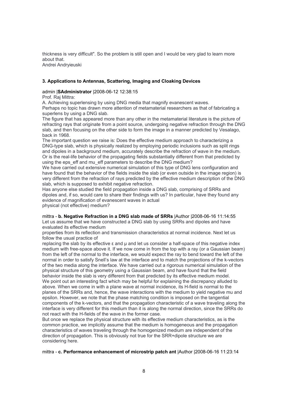thickness is very difficult". So the problem is still open and I would be very glad to learn more about that. Andrei Andryieuski

## **3. Applications to Antennas, Scattering, Imaging and Cloaking Devices**

#### admin |**SAdministrator** |2008-06-12 12:38:15

Prof. Raj Mittra:

A. Achieving superlensing by using DNG media that magnify evanescent waves.

Perhaps no topic has drawn more attention of metamaterial researchers as that of fabricating a superlens by using a DNG slab.

The figure that has appeared more than any other in the metamaterial literature is the picture of refracting rays that originate from a point source, undergoing negative refraction through the DNG slab, and then focusing on the other side to form the image in a manner predicted by Vesalago, back in 1968.

The important question we raise is: Does the effective medium approach to characterizing a DNG-type slab, which is physically realized by employing periodic inclusions such as split rings and dipoles in a background medium, accurately describe the refraction of wave in the medium. Or is the real-life behavior of the propagating fields substantially different from that predicted by using the eps\_eff and mu\_eff parameters to describe the DNG medium?

We have carried out extensive numerical simulation of this type of DNG lens configuration and have found that the behavior of the fields inside the slab (or even outside in the image region) is very different from the refraction of rays predicted by the effective medium description of the DNG slab, which is supposed to exhibit negative refraction.

Has anyone else studied the field propagation inside a DNG slab, comprising of SRRs and dipoles and, if so, would care to share their findings with us? In particular, have they found any evidence of magnification of evanescent waves in actual physical (not effective) medium?

mittra - **b. Negative Refraction in a DNG slab made of SRRs** |Author |2008-06-16 11:14:55 Let us assume that we have constructed a DNG slab by using SRRs and dipoles and have evaluated its effective medium

properties from its reflection and transmission characteristics at normal incidence. Next let us follow the usual practice of

replacing the slab by its effective ε and μ and let us consider a half-space of this negative index medium with free-space above it. If we now come in from the top with a ray (or a Gaussian beam) from the left of the normal to the interface, we would expect the ray to bend toward the left of the normal in order to satisfy Snell's law at the interface and to match the projections of the k-vectors of the two media along the interface. We have carried out a rigorous numerical simulation of the physical structure of this geometry using a Gaussian beam, and have found that the field behavior inside the slab is very different from that predicted by its effective medium model. We point out an interesting fact which may be helpful for explaining the discrepancy alluded to above. When we come in with a plane wave at normal incidence, its H-field is normal to the planes of the SRRs and, hence, the wave interactions with the medium to yield negative mu and epsilon. However, we note that the phase matching condition is imposed on the tangential components of the k-vectors, and that the propagation characteristic of a wave traveling along the interface is very different for this medium than it is along the normal direction, since the SRRs do not react with the H-fields of the wave in the former case.

But once we replace the physical structure with its effective medium characteristics, as is the common practice, we implicitly assume that the medium is homogeneous and the propagation characteristics of waves traveling through the homogenized medium are independent of the direction of propagation. This is obviously not true for the SRR+dipole structure we are considering here.

## mittra - **c. Performance enhancement of microstrip patch ant** |Author |2008-06-16 11:23:14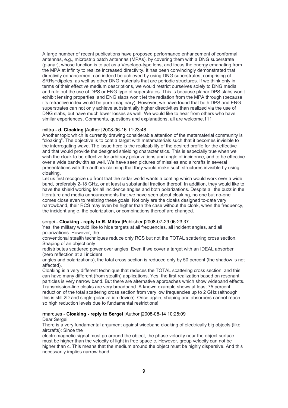A large number of recent publications have proposed performance enhancement of conformal antennas, e.g., microstrip patch antennas (MPAs), by covering them with a DNG superstrate (planar), whose function is to act as a Veselago-type lens, and focus the energy emanating from the MPA at infinity to realize increased directivity. It has been convincingly demonstrated that directivity enhancement can indeed be achieved by using DNG superstrates, comprising of SRRs+dipoles, as well as other DNG materials that are periodic structures. If we think only in terms of their effective medium descriptions, we would restrict ourselves solely to DNG media and rule out the use of DPS or ENG type of superstrates. This is because planar DPS slabs won't exhibit lensing properties, and ENG slabs won't let the radiation from the MPA through (because it's refractive index would be pure imaginary). However, we have found that both DPS and ENG superstrates can not only achieve substantially higher directivities than realized via the use of DNG slabs, but have much lower losses as well. We would like to hear from others who have similar experiences. Comments, questions and explanations, all are welcome.111

# mittra - **d. Cloaking** |Author |2008-06-16 11:23:48

Another topic which is currently drawing considerable attention of the metamaterial community is "cloaking". The objective is to coat a target with metamaterials such that it becomes invisible to the interrogating wave. The issue here is the realizability of the desired profile for the effective and that would provide the designed shielding characteristics. This is especially true when we wish the cloak to be effective for arbitrary polarizations and angle of incidence, and to be effective over a wide bandwidth as well. We have seen pictures of missiles and aircrafts in several presentations with the authors claiming that they would make such structures invisible by using cloaking.

Let us first recognize up front that the radar world wants a coating which would work over a wide band, preferably 2-18 GHz, or at least a substantial fraction thereof. In addition, they would like to have the shield working for all incidence angles and both polarizations. Despite all the buzz in the literature and media announcements that we have seen about cloaking, no one but no-one comes close even to realizing these goals. Not only are the cloaks designed to-date very narrowband, their RCS may even be higher than the case without the cloak, when the frequency, the incident angle, the polarization, or combinations thereof are changed.

#### sergei - **Cloaking - reply to R. Mittra** |Publisher |2008-07-29 06:23:37

Yes, the military would like to hide targets at all frequencies, all incident angles, and all polarizations. However, the

conventional stealth techniques reduce only RCS but not the TOTAL scattering cross section. Shaping of an object only

redistributes scattered power over angles. Even if we cover a target with an IDEAL absorber (zero reflection at all incident

angles and polarizations), the total cross section is reduced only by 50 percent (the shadow is not affected).

Cloaking is a very different technique that reduces the TOTAL scattering cross section, and this can have many different (from stealth) applications. Yes, the first realization based on resonant particles is very narrow band. But there are alternative approaches which show wideband effects. Transmission-line cloaks are very broadband. A known example shows at least 75 percent reduction of the total scattering cross section from very low frequencies up to 2 GHz (although this is still 2D and single-polarization device). Once again, shaping and absorbers cannot reach so high reduction levels due to fundamental restrictions!

# rmarques - **Cloaking - reply to Sergei** |Author |2008-08-14 10:25:09

#### Dear Sergei

There is a very fundamental argument against wideband cloaking of electrically big objects (like aircrafts): Since the

electromagnetic signal must go around the object, the phase velocity near the object surface must be higher than the velocity of light in free space c. However, group velocity can not be higher than c. This means that the medium around the object must be highly dispersive. And this necessarily implies narrow band.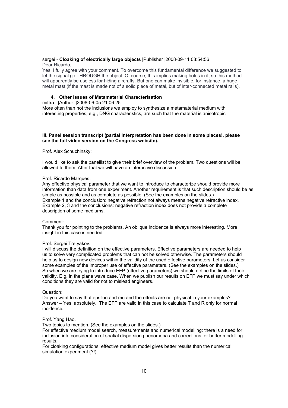#### sergei - **Cloaking of electrically large objects** |Publisher |2008-09-11 08:54:56 Dear Ricardo,

Yes, I fully agree with your comment. To overcome this fundamental difference we suggested to let the signal go THROUGH the object. Of course, this implies making holes in it, so this method will apparently be useless for hiding aircrafts. But one can make invisible, for instance, a huge metal mast (if the mast is made not of a solid piece of metal, but of inter-connected metal rails).

# **4. Other Issues of Metamaterial Characterisation**

## mittra |Author |2008-06-05 21:06:25

More often than not the inclusions we employ to synthesize a metamaterial medium with interesting properties, e.g., DNG characteristics, are such that the material is anisotropic

## **III. Panel session transcript (partial interpretation has been done in some places!, please see the full video version on the Congress website).**

## Prof. Alex Schuchinsky:

I would like to ask the panellist to give their brief overview of the problem. Two questions will be allowed to them. After that we will have an interactive discussion.

## Prof. Ricardo Marques:

Any effective physical parameter that we want to introduce to characterize should provide more information than data from one experiment. Another requirement is that such description should be as simple as possible and as complete as possible. (See the examples on the slides.) Example 1 and the conclusion: negative refraction not always means negative refractive index. Example 2, 3 and the conclusions: negative refraction index does not provide a complete description of some mediums.

#### Comment:

Thank you for pointing to the problems. An oblique incidence is always more interesting. More insight in this case is needed.

# Prof. Sergei Tretyakov:

I will discuss the definition on the effective parameters. Effective parameters are needed to help us to solve very complicated problems that can not be solved otherwise. The parameters should help us to design new devices within the validity of the used effective parameters. Let us consider some examples of the improper use of effective parameters. (See the examples on the slides.) So when we are trying to introduce EFP (effective parameters) we should define the limits of their validity. E.g. in the plane wave case. When we publish our results on EFP we must say under which conditions they are valid for not to mislead engineers.

#### Question:

Do you want to say that epsilon and mu and the effects are not physical in your examples? Answer – Yes, absolutely. The EFP are valid in this case to calculate T and R only for normal incidence.

#### Prof. Yang Hao.

Two topics to mention. (See the examples on the slides.)

For effective medium model search, measurements and numerical modelling: there is a need for inclusion into consideration of spatial dispersion phenomena and corrections for better modelling results.

For cloaking configurations: effective medium model gives better results than the numerical simulation experiment (?!).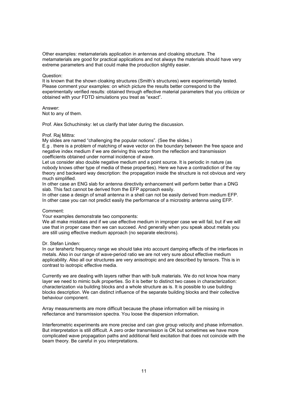Other examples: metamaterials application in antennas and cloaking structure. The metamaterials are good for practical applications and not always the materials should have very extreme parameters and that could make the production slightly easier.

#### Question:

It is known that the shown cloaking structures (Smith's structures) were experimentally tested. Please comment your examples: on which picture the results better correspond to the experimentally verified results: obtained through effective material parameters that you criticize or obtained with your FDTD simulations you treat as "exact".

#### Answer:

Not to any of them.

Prof. Alex Schuchinsky: let us clarify that later during the discussion.

#### Prof. Raj Mittra:

My slides are named "challenging the popular notions". (See the slides.)

E.g . there is a problem of matching of wave vector on the boundary between the free space and negative index medium if we are deriving this vector from the reflection and transmission coefficients obtained under normal incidence of wave.

Let us consider also double negative medium and a point source. It is periodic in nature (as nobody knows other type of media of these properties). Here we have a contradiction of the ray theory and backward way description: the propagation inside the structure is not obvious and very much simplified.

In other case an ENG slab for antenna directivity enhancement will perform better than a DNG slab. This fact cannot be derived from the EFP approach easily.

In other case a design of small antenna in a shell can not be easily derived from medium EFP. In other case you can not predict easily the performance of a microstrip antenna using EFP.

## Comment:

Your examples demonstrate two components:

We all make mistakes and if we use effective medium in improper case we will fail, but if we will use that in proper case then we can succeed. And generally when you speak about metals you are still using effective medium approach (no separate electrons).

## Dr. Stefan Linden:

In our terahertz frequency range we should take into account damping effects of the interfaces in metals. Also in our range of wave-period ratio we are not very sure about effective medium applicability. Also all our structures are very anisotropic and are described by tensors. This is in contrast to isotropic effective media.

Currently we are dealing with layers rather than with bulk materials. We do not know how many layer we need to mimic bulk properties. So it is better to distinct two cases in characterization: characterization via building blocks and a whole structure as is. It is possible to use building blocks description. We can distinct influence of the separate building blocks and their collective behaviour component.

Array measurements are more difficult because the phase information will be missing in reflectance and transmission spectra. You loose the dispersion information.

Interferometric experiments are more precise and can give group velocity and phase information. But interpretation is still difficult. A zero order transmission is OK but sometimes we have more complicated wave propagation paths and additional field excitation that does not coincide with the beam theory. Be careful in you interpretations.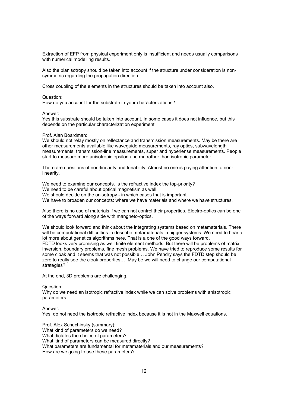Extraction of EFP from physical experiment only is insufficient and needs usually comparisons with numerical modelling results.

Also the bianisotropy should be taken into account if the structure under consideration is nonsymmetric regarding the propagation direction.

Cross coupling of the elements in the structures should be taken into account also.

#### Question:

How do you account for the substrate in your characterizations?

#### Answer:

Yes this substrate should be taken into account. In some cases it does not influence, but this depends on the particular characterization experiment.

## Prof. Alan Boardman:

We should not relay mostly on reflectance and transmission measurements. May be there are other measurements available like waveguide measurements, ray optics, subwavelength measurements, transmission-line measurements, super and hyperlense measurements. People start to measure more anisotropic epsilon and mu rather than isotropic parameter.

There are questions of non-linearity and tunability. Almost no one is paying attention to nonlinearity.

We need to examine our concepts. Is the refractive index the top-priority? We need to be careful about optical magnetism as well. We should decide on the anisotropy - in which cases that is important. We have to broaden our concepts: where we have materials and where we have structures.

Also there is no use of materials if we can not control their properties. Electro-optics can be one of the ways forward along side with mangneto-optics.

We should look forward and think about the integrating systems based on metamaterials. There will be computational difficulties to describe metamaterials in bigger systems. We need to hear a lot more about genetics algorithms here. That is a one of the good ways forward. FDTD looks very promising as well finite element methods. But there will be problems of matrix inversion, boundary problems, fine mesh problems. We have tried to reproduce some results for some cloak and it seems that was not possible… John Pendry says the FDTD step should be zero to really see the cloak properties… May be we will need to change our computational strategies?

At the end, 3D problems are challenging.

Question:

Why do we need an isotropic refractive index while we can solve problems with anisotropic parameters.

Answer:

Yes, do not need the isotropic refractive index because it is not in the Maxwell equations.

Prof. Alex Schuchinsky (summary): What kind of parameters do we need? What dictates the choice of parameters? What kind of parameters can be measured directly? What parameters are fundamental for metamaterials and our measurements? How are we going to use these parameters?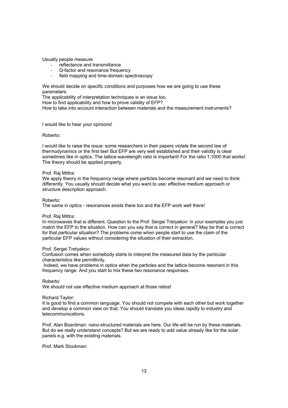Usually people measure

- reflectance and transmittance
- Q-factor and resonance frequency
- field mapping and time-domain spectroscopy

We should decide on specific conditions and purposes how we are going to use these parameters.

The applicability of interpretation techniques is an issue too.

How to find applicability and how to prove validity of EFP?

How to take into account interaction between materials and the measurement instruments?

#### I would like to hear your opinions!

# Roberto:

I would like to raise the issue: some researchers in their papers violate the second law of thermodynamics or the first law! But EFP are very well established and their validity is clear sometimes like in optics. The lattice-wavelength ratio is important! For the ratio 1:1000 that works! The theory should be applied properly.

#### Prof. Raj Mittra:

We apply theory in the frequency range where particles become resonant and we need to think differently. You usually should decide what you want to use: effective medium approach or structure description approach.

#### Roberto:

The same in optics - resonances exists there too and the EFP work well there!

#### Prof. Raj Mittra:

In microwaves that is different. Question to the Prof. Sergei Tretyakov: in your examples you just match the EFP to the situation. How can you say that is correct in general? May be that is correct for that particular situation? The problems come when people start to use the claim of the particular EFP values without considering the situation of their extraction.

#### Prof. Sergei Tretyakov:

Confusion comes when somebody starts to interpret the measured data by the particular characteristics like permittivity.

 Indeed, we have problems in optics when the particles and the lattice become resonant in this frequency range. And you start to mix these two resonance responses.

Roberto:

We should not use effective medium approach at those ratios!

#### Richard Taylor:

It is good to find a common language. You should not compete with each other but work together and develop a common view on that. You should translate you ideas rapidly to industry and telecommunications.

Prof. Alan Boardman: nano-structured materials are here. Our life will be run by these materials. But do we really understand concepts? But we are ready to add value already like for the solar panels e.g. with the existing materials.

Prof. Mark Stockman: